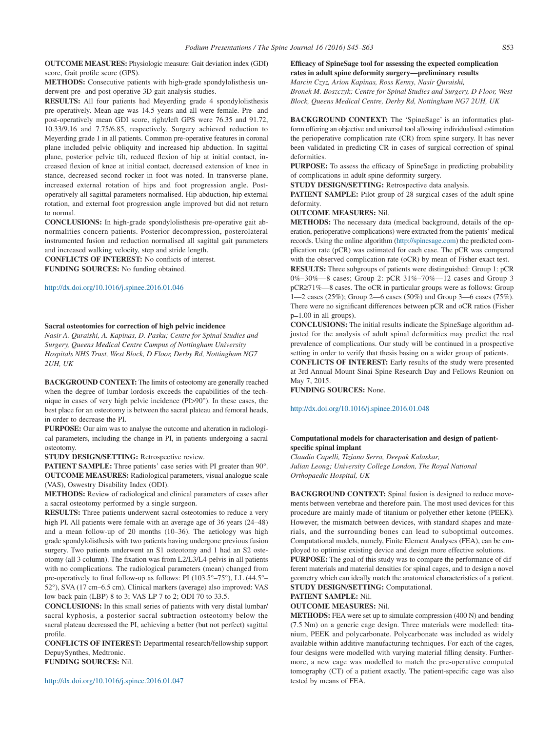**OUTCOME MEASURES:** Physiologic measure: Gait deviation index (GDI) score, Gait profile score (GPS).

**METHODS:** Consecutive patients with high-grade spondylolisthesis underwent pre- and post-operative 3D gait analysis studies.

**RESULTS:** All four patients had Meyerding grade 4 spondylolisthesis pre-operatively. Mean age was 14.5 years and all were female. Pre- and post-operatively mean GDI score, right/left GPS were 76.35 and 91.72, 10.33/9.16 and 7.75/6.85, respectively. Surgery achieved reduction to Meyerding grade 1 in all patients. Common pre-operative features in coronal plane included pelvic obliquity and increased hip abduction. In sagittal plane, posterior pelvic tilt, reduced flexion of hip at initial contact, increased flexion of knee at initial contact, decreased extension of knee in stance, decreased second rocker in foot was noted. In transverse plane, increased external rotation of hips and foot progression angle. Postoperatively all sagittal parameters normalised. Hip abduction, hip external rotation, and external foot progression angle improved but did not return to normal.

**CONCLUSIONS:** In high-grade spondylolisthesis pre-operative gait abnormalities concern patients. Posterior decompression, posterolateral instrumented fusion and reduction normalised all sagittal gait parameters and increased walking velocity, step and stride length.

**CONFLICTS OF INTEREST:** No conflicts of interest. **FUNDING SOURCES:** No funding obtained.

### http://dx.doi.org/10.1016/j.spinee.2016.01.046

#### **Sacral osteotomies for correction of high pelvic incidence**

*Nasir A. Quraishi, A. Kapinas, D. Pasku; Centre for Spinal Studies and Surgery, Queens Medical Centre Campus of Nottingham University Hospitals NHS Trust, West Block, D Floor, Derby Rd, Nottingham NG7 2UH, UK*

**BACKGROUND CONTEXT:** The limits of osteotomy are generally reached when the degree of lumbar lordosis exceeds the capabilities of the technique in cases of very high pelvic incidence (PI>90°). In these cases, the best place for an osteotomy is between the sacral plateau and femoral heads, in order to decrease the PI.

**PURPOSE:** Our aim was to analyse the outcome and alteration in radiological parameters, including the change in PI, in patients undergoing a sacral osteotomy.

**STUDY DESIGN/SETTING:** Retrospective review.

**PATIENT SAMPLE:** Three patients' case series with PI greater than 90°. **OUTCOME MEASURES:** Radiological parameters, visual analogue scale (VAS), Oswestry Disability Index (ODI).

**METHODS:** Review of radiological and clinical parameters of cases after a sacral osteotomy performed by a single surgeon.

**RESULTS:** Three patients underwent sacral osteotomies to reduce a very high PI. All patients were female with an average age of 36 years (24–48) and a mean follow-up of 20 months (10–36). The aetiology was high grade spondylolisthesis with two patients having undergone previous fusion surgery. Two patients underwent an S1 osteotomy and 1 had an S2 osteotomy (all 3 column). The fixation was from L2/L3/L4-pelvis in all patients with no complications. The radiological parameters (mean) changed from pre-operatively to final follow-up as follows: PI ( $103.5^{\circ}$ – $75^{\circ}$ ), LL ( $44.5^{\circ}$ – 52°), SVA (17 cm–6.5 cm). Clinical markers (average) also improved: VAS low back pain (LBP) 8 to 3; VAS LP 7 to 2; ODI 70 to 33.5.

**CONCLUSIONS:** In this small series of patients with very distal lumbar/ sacral kyphosis, a posterior sacral subtraction osteotomy below the sacral plateau decreased the PI, achieving a better (but not perfect) sagittal profile.

**CONFLICTS OF INTEREST:** Departmental research/fellowship support DepuySynthes, Medtronic.

**FUNDING SOURCES:** Nil.

http://dx.doi.org/10.1016/j.spinee.2016.01.047

# **Efficacy of SpineSage tool for assessing the expected complication rates in adult spine deformity surgery—preliminary results** *Marcin Czyz, Arion Kapinas, Ross Kenny, Nasir Quraishi,*

*Bronek M. Boszczyk; Centre for Spinal Studies and Surgery, D Floor, West Block, Queens Medical Centre, Derby Rd, Nottingham NG7 2UH, UK*

**BACKGROUND CONTEXT:** The 'SpineSage' is an informatics platform offering an objective and universal tool allowing individualised estimation the perioperative complication rate (CR) from spine surgery. It has never been validated in predicting CR in cases of surgical correction of spinal deformities.

**PURPOSE:** To assess the efficacy of SpineSage in predicting probability of complications in adult spine deformity surgery.

**STUDY DESIGN/SETTING:** Retrospective data analysis.

**PATIENT SAMPLE:** Pilot group of 28 surgical cases of the adult spine deformity.

## **OUTCOME MEASURES:** Nil.

**METHODS:** The necessary data (medical background, details of the operation, perioperative complications) were extracted from the patients' medical records. Using the online algorithm [\(http://spinesage.com\)](http://spinesage.com) the predicted complication rate (pCR) was estimated for each case. The pCR was compared with the observed complication rate (oCR) by mean of Fisher exact test.

**RESULTS:** Three subgroups of patients were distinguished: Group 1: pCR 0%–30%—8 cases; Group 2: pCR 31%–70%—12 cases and Group 3 pCR≥71%—8 cases. The oCR in particular groups were as follows: Group 1—2 cases (25%); Group 2—6 cases (50%) and Group 3—6 cases (75%). There were no significant differences between pCR and oCR ratios (Fisher p=1.00 in all groups).

**CONCLUSIONS:** The initial results indicate the SpineSage algorithm adjusted for the analysis of adult spinal deformities may predict the real prevalence of complications. Our study will be continued in a prospective setting in order to verify that thesis basing on a wider group of patients.

**CONFLICTS OF INTEREST:** Early results of the study were presented at 3rd Annual Mount Sinai Spine Research Day and Fellows Reunion on May 7, 2015.

**FUNDING SOURCES:** None.

http://dx.doi.org/10.1016/j.spinee.2016.01.048

## **Computational models for characterisation and design of patientspecific spinal implant**

*Claudio Capelli, Tiziano Serra, Deepak Kalaskar, Julian Leong; University College London, The Royal National Orthopaedic Hospital, UK*

**BACKGROUND CONTEXT:** Spinal fusion is designed to reduce movements between vertebrae and therefore pain. The most used devices for this procedure are mainly made of titanium or polyether ether ketone (PEEK). However, the mismatch between devices, with standard shapes and materials, and the surrounding bones can lead to suboptimal outcomes. Computational models, namely, Finite Element Analyses (FEA), can be employed to optimise existing device and design more effective solutions.

**PURPOSE:** The goal of this study was to compare the performance of different materials and material densities for spinal cages, and to design a novel geometry which can ideally match the anatomical characteristics of a patient. **STUDY DESIGN/SETTING:** Computational.

#### **PATIENT SAMPLE:** Nil.

**OUTCOME MEASURES:** Nil.

**METHODS:** FEA were set up to simulate compression (400 N) and bending (7.5 Nm) on a generic cage design. Three materials were modelled: titanium, PEEK and polycarbonate. Polycarbonate was included as widely available within additive manufacturing techniques. For each of the cages, four designs were modelled with varying material filling density. Furthermore, a new cage was modelled to match the pre-operative computed tomography (CT) of a patient exactly. The patient-specific cage was also tested by means of FEA.